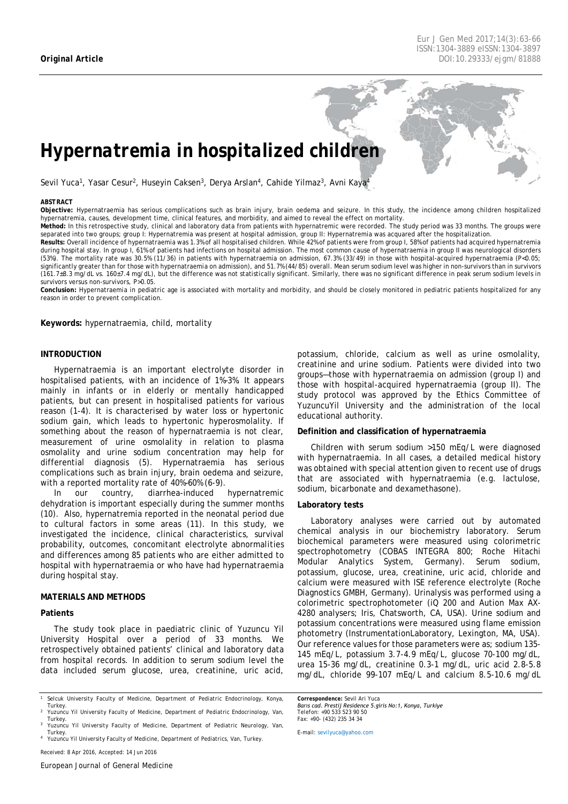*Eur J Gen Med 2017;14(3)[:63](#page-0-0)[-66](#page-3-0) ISSN:1304-3889 eISSN:1304-3897 Original Article DOI:10.29333/ejgm/81888*

# *Hypernatremia in hospitalized children*

Sevil Yuca<sup>1</sup>, Yasar Cesur<sup>2</sup>, Huseyin Caksen<sup>3</sup>, Derya Arslan<sup>4</sup>, Cahide Yilmaz<sup>3</sup>, Avni Kaya<sup>4</sup>

#### <span id="page-0-0"></span>*ABSTRACT*

**Objective:** Hypernatraemia has serious complications such as brain injury, brain oedema and seizure. In this study, the incidence among children hospitalized hypernatremia, causes, development time, clinical features, and morbidity, and aimed to reveal the effect on mortality.

**Method:** In this retrospective study, clinical and laboratory data from patients with hypernatremic were recorded. The study period was 33 months. The groups were separated into two groups; group I: Hypernatremia was present at hospital admission, group II: Hypernatremia was acquared after the hospitalization.

**Results:** Overall incidence of hypernatraemia was 1.3% of all hospitalised children. While 42% of patients were from group I, 58% of patients had acquired hypernatremia during hospital stay. In group I, 61% of patients had infections on hospital admission. The most common cause of hypernatraemia in group II was neurological disorders (53%). The mortality rate was 30.5% (11/36) in patients with hypernatraemia on admission, 67.3% (33/49) in those with hospital-acquired hypernatraemia (P<0.05; significantly greater than for those with hypernatraemia on admission), and 51.7% (44/85) overall. Mean serum sodium level was higher in non-survivors than in survivors (161.7±8.3 mg/dL vs. 160±7.4 mg/dL), but the difference was not statistically significant. Similarly, there was no significant difference in peak serum sodium levels in survivors versus non-survivors, P>0.05.

**Conclusion:** Hypernatraemia in pediatric age is associated with mortality and morbidity, and should be closely monitored in pediatric patients hospitalized for any reason in order to prevent complication.

**Keywords:** hypernatraemia, child, mortality

### **INTRODUCTION**

Hypernatraemia is an important electrolyte disorder in hospitalised patients, with an incidence of 1%–3%. It appears mainly in infants or in elderly or mentally handicapped patients, but can present in hospitalised patients for various reason (1-4). It is characterised by water loss or hypertonic sodium gain, which leads to hypertonic hyperosmolality. If something about the reason of hypernatraemia is not clear, measurement of urine osmolality in relation to plasma osmolality and urine sodium concentration may help for differential diagnosis (5). Hypernatraemia has serious complications such as brain injury, brain oedema and seizure, with a reported mortality rate of 40%–60% (6-9).

In our country, diarrhea-induced hypernatremic dehydration is important especially during the summer months (10). Also, hypernatremia reported in the neonatal period due to cultural factors in some areas (11). In this study, we investigated the incidence, clinical characteristics, survival probability, outcomes, concomitant electrolyte abnormalities and differences among 85 patients who are either admitted to hospital with hypernatraemia or who have had hypernatraemia during hospital stay.

#### **MATERIALS AND METHODS**

## **Patients**

The study took place in paediatric clinic of Yuzuncu Yil University Hospital over a period of 33 months. We retrospectively obtained patients' clinical and laboratory data from hospital records. In addition to serum sodium level the data included serum glucose, urea, creatinine, uric acid,

*<sup>1</sup> Selcuk University Faculty of Medicine, Department of Pediatric Endocrinology, Konya, Turkey. <sup>2</sup> Yuzuncu Yil University Faculty of Medicine, Department of Pediatric Endocrinology, Van,* 

*Turkey. <sup>4</sup> Yuzuncu Yil University Faculty of Medicine, Department of Pediatrics, Van, Turkey.*

*Received: 8 Apr 2016, Accepted: 14 Jun 2016*

potassium, chloride, calcium as well as urine osmolality, creatinine and urine sodium. Patients were divided into two groups—those with hypernatraemia on admission (group I) and those with hospital-acquired hypernatraemia (group II). The study protocol was approved by the Ethics Committee of YuzuncuYil University and the administration of the local educational authority.

### **Definition and classification of hypernatraemia**

Children with serum sodium >150 mEq/L were diagnosed with hypernatraemia. In all cases, a detailed medical history was obtained with special attention given to recent use of drugs that are associated with hypernatraemia (e.g. lactulose, sodium, bicarbonate and dexamethasone).

#### **Laboratory tests**

Laboratory analyses were carried out by automated chemical analysis in our biochemistry laboratory. Serum biochemical parameters were measured using colorimetric spectrophotometry (COBAS INTEGRA 800; Roche Hitachi Modular Analytics System, Germany). Serum sodium, potassium, glucose, urea, creatinine, uric acid, chloride and calcium were measured with ISE reference electrolyte (Roche Diagnostics GMBH, Germany). Urinalysis was performed using a colorimetric spectrophotometer (iQ 200 and Aution Max AX-4280 analysers; Iris, Chatsworth, CA, USA). Urine sodium and potassium concentrations were measured using flame emission photometry (InstrumentationLaboratory, Lexington, MA, USA). Our reference values for those parameters were as; sodium 135- 145 mEq/L, potassium 3.7-4.9 mEq/L, glucose 70-100 mg/dL, urea 15-36 mg/dL, creatinine 0.3-1 mg/dL, uric acid 2.8-5.8 mg/dL, chloride 99-107 mEq/L and calcium 8.5-10.6 mg/dL

*Correspondence: Sevil Ari Yuca Barıs cad. Prestij Residence 5.giris No:1, Konya, Turkiye Telefon: +90 533 523 90 50 Fax: +90- (432) 235 34 34*

*E-mail[: sevilyuca@yahoo.com](mailto:sevilyuca@yahoo.com)*

*Turkey. <sup>3</sup> Yuzuncu Yil University Faculty of Medicine, Department of Pediatric Neurology, Van,*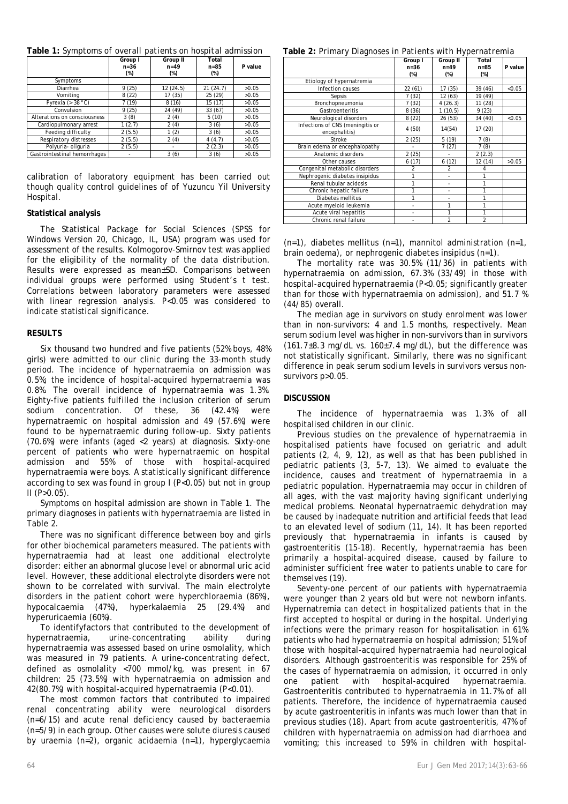|  | Table 1: Symptoms of overall patients on hospital admission |
|--|-------------------------------------------------------------|
|--|-------------------------------------------------------------|

|                              | Group I<br>$n = 36$<br>$(\%)$ | Group II<br>$n = 49$<br>$(\%)$ | Total<br>$n = 85$<br>$(\%)$ | P value |
|------------------------------|-------------------------------|--------------------------------|-----------------------------|---------|
| Symptoms                     |                               |                                |                             |         |
| Diarrhea                     | 9(25)                         | 12(24.5)                       | 21(24.7)                    | >0.05   |
| Vomitina                     | 8(22)                         | 17 (35)                        | 25 (29)                     | >0.05   |
| Pyrexia ( $>$ 38 °C)         | 7 (19)                        | 8(16)                          | 15 (17)                     | >0.05   |
| Convulsion                   | 9(25)                         | 24 (49)                        | 33 (67)                     | >0.05   |
| Alterations on consciousness | 3(8)                          | 2(4)                           | 5(10)                       | >0.05   |
| Cardiopulmonary arrest       | 1(2.7)                        | 2(4)                           | 3(6)                        | >0.05   |
| Feeding difficulty           | 2(5.5)                        | 1(2)                           | 3(6)                        | >0.05   |
| Respiratory distresses       | 2(5.5)                        | 2(4)                           | 4(4.7)                      | >0.05   |
| Polyuria- oliguria           | 2(5.5)                        | ٠                              | 2(2.3)                      | >0.05   |
| Gastrointestinal hemorrhages |                               | 3(6)                           | 3(6)                        | >0.05   |

calibration of laboratory equipment has been carried out though quality control guidelines of of Yuzuncu Yil University Hospital.

## **Statistical analysis**

The Statistical Package for Social Sciences (SPSS for Windows Version 20, Chicago, IL, USA) program was used for assessment of the results. Kolmogorov-Smirnov test was applied for the eligibility of the normality of the data distribution. Results were expressed as mean±SD. Comparisons between individual groups were performed using Student's t test. Correlations between laboratory parameters were assessed with linear regression analysis. P<0.05 was considered to indicate statistical significance.

## **RESULTS**

Six thousand two hundred and five patients (52% boys, 48% girls) were admitted to our clinic during the 33-month study period. The incidence of hypernatraemia on admission was 0.5%; the incidence of hospital-acquired hypernatraemia was 0.8%. The overall incidence of hypernatraemia was 1.3%. Eighty-five patients fulfilled the inclusion criterion of serum sodium concentration. Of these, 36 (42.4%) were hypernatraemic on hospital admission and 49 (57.6%) were found to be hypernatraemic during follow-up. Sixty patients (70.6%) were infants (aged <2 years) at diagnosis. Sixty-one percent of patients who were hypernatraemic on hospital admission and 55% of those with hospital-acquired hypernatraemia were boys. A statistically significant difference according to sex was found in group I (P<0.05) but not in group  $II$  (P $>0.05$ ).

Symptoms on hospital admission are shown in Table 1. The primary diagnoses in patients with hypernatraemia are listed in Table 2.

There was no significant difference between boy and girls for other biochemical parameters measured. The patients with hypernatraemia had at least one additional electrolyte disorder: either an abnormal glucose level or abnormal uric acid level. However, these additional electrolyte disorders were not shown to be correlated with survival. The main electrolyte disorders in the patient cohort were hyperchloraemia (86%), hypocalcaemia (47%), hyperkalaemia 25 (29.4%) and hyperuricaemia (60%).

To identifyfactors that contributed to the development of hypernatraemia, urine-concentrating ability during hypernatraemia was assessed based on urine osmolality, which was measured in 79 patients. A urine-concentrating defect, defined as osmolality <700 mmol/kg, was present in 67 children: 25 (73.5%) with hypernatraemia on admission and 42(80.7%) with hospital-acquired hypernatraemia (P<0.01).

The most common factors that contributed to impaired renal concentrating ability were neurological disorders (n=6/15) and acute renal deficiency caused by bacteraemia (n=5/9) in each group. Other causes were solute diuresis caused by uraemia (n=2), organic acidaemia (n=1), hyperglycaemia

**Table 2:** *Primary Diagnoses in Patients with Hypernatremia*

|                                                   | Group I       | Group II       | Total   |         |
|---------------------------------------------------|---------------|----------------|---------|---------|
|                                                   | $n = 36$      | $n = 49$       | $n=85$  | P value |
|                                                   | $(\%)$        | $(\%)$         | $(\%)$  |         |
| Etiology of hypernatremia                         |               |                |         |         |
| Infection causes                                  | 22 (61)       | 17 (35)        | 39 (46) | < 0.05  |
| Sepsis                                            | 7(32)         | 12 (63)        | 19 (49) |         |
| Bronchopneumonia                                  | 7(32)         | 4(26.3)        | 11 (28) |         |
| Gastroenteritis                                   | 8(36)         | 1(10.5)        | 9(23)   |         |
| Neurological disorders                            | 8(22)         | 26 (53)        | 34 (40) | < 0.05  |
| Infections of CNS (meningitis or<br>encephalitis) | 4(50)         | 14(54)         | 17 (20) |         |
| Stroke                                            | 2(25)         | 5(19)          | 7(8)    |         |
| Brain edema or encephalopathy                     |               | 7(27)          | 7(8)    |         |
| Anatomic disorders                                | 2(25)         |                | 2(2.3)  |         |
| Other causes                                      | 6(17)         | 6(12)          | 12 (14) | >0.05   |
| Congenital metabolic disorders                    | $\mathfrak z$ | $\mathfrak{p}$ | 4       |         |
| Nephrogenic diabetes insipidus                    | 1             |                |         |         |
| Renal tubular acidosis                            | 1             |                | 1       |         |
| Chronic hepatic failure                           | 1             | ٠              |         |         |
| Diabetes mellitus                                 | 1             | ä,             |         |         |
| Acute myeloid leukemia                            |               | 1              | 1       |         |
| Acute viral hepatitis                             |               | 1              | 1       |         |
| Chronic renal failure                             | ٠             | $\overline{c}$ | 2       |         |

 $(n=1)$ , diabetes mellitus  $(n=1)$ , mannitol administration  $(n=1)$ , brain oedema), or nephrogenic diabetes insipidus (n=1).

The mortality rate was 30.5% (11/36) in patients with hypernatraemia on admission, 67.3% (33/49) in those with hospital-acquired hypernatraemia (P<0.05; significantly greater than for those with hypernatraemia on admission), and 51.7 % (44/85) overall.

The median age in survivors on study enrolment was lower than in non-survivors: 4 and 1.5 months, respectively. Mean serum sodium level was higher in non-survivors than in survivors  $(161.7±8.3 \text{ mg/dL vs. } 160±7.4 \text{ mg/dL})$ , but the difference was not statistically significant. Similarly, there was no significant difference in peak serum sodium levels in survivors versus nonsurvivors p>0.05.

## **DISCUSSION**

The incidence of hypernatraemia was 1.3% of all hospitalised children in our clinic.

Previous studies on the prevalence of hypernatraemia in hospitalised patients have focused on geriatric and adult patients (2, 4, 9, 12), as well as that has been published in pediatric patients (3, 5-7, 13). We aimed to evaluate the incidence, causes and treatment of hypernatraemia in a pediatric population. Hypernatraemia may occur in children of all ages, with the vast majority having significant underlying medical problems. Neonatal hypernatraemic dehydration may be caused by inadequate nutrition and artificial feeds that lead to an elevated level of sodium (11, 14). It has been reported previously that hypernatraemia in infants is caused by gastroenteritis (15-18). Recently, hypernatraemia has been primarily a hospital-acquired disease, caused by failure to administer sufficient free water to patients unable to care for themselves (19).

Seventy-one percent of our patients with hypernatraemia were younger than 2 years old but were not newborn infants. Hypernatremia can detect in hospitalized patients that in the first accepted to hospital or during in the hospital. Underlying infections were the primary reason for hospitalisation in 61% patients who had hypernatraemia on hospital admission; 51% of those with hospital-acquired hypernatraemia had neurological disorders. Although gastroenteritis was responsible for 25% of the cases of hypernatraemia on admission, it occurred in only one patient with hospital-acquired hypernatraemia. Gastroenteritis contributed to hypernatraemia in 11.7% of all patients. Therefore, the incidence of hypernatraemia caused by acute gastroenteritis in infants was much lower than that in previous studies (18). Apart from acute gastroenteritis, 47% of children with hypernatraemia on admission had diarrhoea and vomiting; this increased to 59% in children with hospital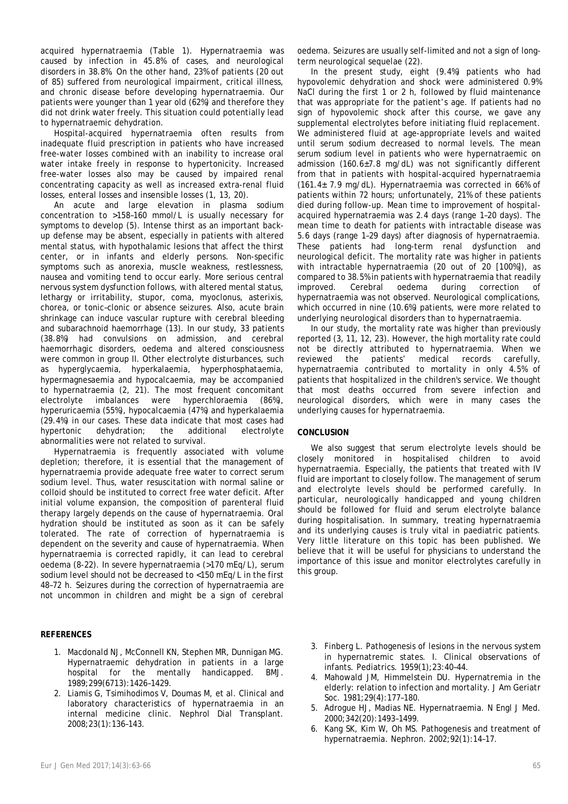acquired hypernatraemia (Table 1). Hypernatraemia was caused by infection in 45.8% of cases, and neurological disorders in 38.8%. On the other hand, 23% of patients (20 out of 85) suffered from neurological impairment, critical illness, and chronic disease before developing hypernatraemia. Our patients were younger than 1 year old (62%) and therefore they did not drink water freely. This situation could potentially lead to hypernatraemic dehydration.

Hospital-acquired hypernatraemia often results from inadequate fluid prescription in patients who have increased free-water losses combined with an inability to increase oral water intake freely in response to hypertonicity. Increased free-water losses also may be caused by impaired renal concentrating capacity as well as increased extra-renal fluid losses, enteral losses and insensible losses (1, 13, 20).

An acute and large elevation in plasma sodium concentration to >158–160 mmol/L is usually necessary for symptoms to develop (5). Intense thirst as an important backup defense may be absent, especially in patients with altered mental status, with hypothalamic lesions that affect the thirst center, or in infants and elderly persons. Non-specific symptoms such as anorexia, muscle weakness, restlessness, nausea and vomiting tend to occur early. More serious central nervous system dysfunction follows, with altered mental status, lethargy or irritability, stupor, coma, myoclonus, asterixis, chorea, or tonic–clonic or absence seizures. Also, acute brain shrinkage can induce vascular rupture with cerebral bleeding and subarachnoid haemorrhage (13). In our study, 33 patients (38.8%) had convulsions on admission, and cerebral haemorrhagic disorders, oedema and altered consciousness were common in group II. Other electrolyte disturbances, such as hyperglycaemia, hyperkalaemia, hyperphosphataemia, hypermagnesaemia and hypocalcaemia, may be accompanied to hypernatraemia (2, 21). The most frequent concomitant electrolyte imbalances were hyperchloraemia (86%), hyperuricaemia (55%), hypocalcaemia (47%) and hyperkalaemia (29.4%) in our cases. These data indicate that most cases had hypertonic dehydration; the additional electrolyte abnormalities were not related to survival.

Hypernatraemia is frequently associated with volume depletion; therefore, it is essential that the management of hypernatraemia provide adequate free water to correct serum sodium level. Thus, water resuscitation with normal saline or colloid should be instituted to correct free water deficit. After initial volume expansion, the composition of parenteral fluid therapy largely depends on the cause of hypernatraemia. Oral hydration should be instituted as soon as it can be safely tolerated. The rate of correction of hypernatraemia is dependent on the severity and cause of hypernatraemia. When hypernatraemia is corrected rapidly, it can lead to cerebral oedema (8-22). In severe hypernatraemia (>170 mEq/L), serum sodium level should not be decreased to <150 mEq/L in the first 48–72 h. Seizures during the correction of hypernatraemia are not uncommon in children and might be a sign of cerebral

## **REFERENCES**

- 1. Macdonald NJ, McConnell KN, Stephen MR, Dunnigan MG. Hypernatraemic dehydration in patients in a large hospital for the mentally handicapped. BMJ. 1989;299(6713):1426–1429.
- 2. Liamis G, Tsimihodimos V, Doumas M, et al. Clinical and laboratory characteristics of hypernatraemia in an internal medicine clinic. Nephrol Dial Transplant. 2008;23(1):136–143.

oedema. Seizures are usually self-limited and not a sign of longterm neurological sequelae (22).

In the present study, eight (9.4%) patients who had hypovolemic dehydration and shock were administered 0.9% NaCl during the first 1 or 2 h, followed by fluid maintenance that was appropriate for the patient's age. If patients had no sign of hypovolemic shock after this course, we gave any supplemental electrolytes before initiating fluid replacement. We administered fluid at age-appropriate levels and waited until serum sodium decreased to normal levels. The mean serum sodium level in patients who were hypernatraemic on admission  $(160.6\pm7.8 \text{ ma/dL})$  was not significantly different from that in patients with hospital-acquired hypernatraemia (161.4± 7.9 mg/dL). Hypernatraemia was corrected in 66% of patients within 72 hours; unfortunately, 21% of these patients died during follow-up. Mean time to improvement of hospitalacquired hypernatraemia was 2.4 days (range 1–20 days). The mean time to death for patients with intractable disease was 5.6 days (range 1–29 days) after diagnosis of hypernatraemia. These patients had long-term renal dysfunction and neurological deficit. The mortality rate was higher in patients with intractable hypernatraemia (20 out of 20 [100%]), as compared to 38.5% in patients with hypernatraemia that readily improved. Cerebral oedema during correction of hypernatraemia was not observed. Neurological complications, which occurred in nine (10.6%) patients, were more related to underlying neurological disorders than to hypernatraemia.

In our study, the mortality rate was higher than previously reported (3, 11, 12, 23). However, the high mortality rate could not be directly attributed to hypernatraemia. When we reviewed the patients' medical records carefully, hypernatraemia contributed to mortality in only 4.5% of patients that hospitalized in the children's service. We thought that most deaths occurred from severe infection and neurological disorders, which were in many cases the underlying causes for hypernatraemia.

## **CONCLUSION**

We also suggest that serum electrolyte levels should be closely monitored in hospitalised children to avoid hypernatraemia. Especially, the patients that treated with IV fluid are important to closely follow. The management of serum and electrolyte levels should be performed carefully. In particular, neurologically handicapped and young children should be followed for fluid and serum electrolyte balance during hospitalisation. In summary, treating hypernatraemia and its underlying causes is truly vital in paediatric patients. Very little literature on this topic has been published. We believe that it will be useful for physicians to understand the importance of this issue and monitor electrolytes carefully in this group.

- 3. Finberg L. Pathogenesis of lesions in the nervous system in hypernatremic states. I. Clinical observations of infants. Pediatrics. 1959(1);23:40–44.
- 4. Mahowald JM, Himmelstein DU. Hypernatremia in the elderly: relation to infection and mortality. J Am Geriatr Soc. 1981;29(4):177–180.
- 5. Adrogue HJ, Madias NE. Hypernatraemia. N Engl J Med. 2000;342(20):1493–1499.
- 6. Kang SK, Kim W, Oh MS. Pathogenesis and treatment of hypernatraemia. Nephron. 2002;92(1):14–17.